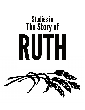# Studies in The Story of RUTH

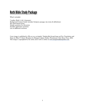# **Ruth Bible Study Package**

What's included:

7 studies (Ruth 1-4 & 3 character) Background Context Guide (includes Scripture passages, key terms & definitions) Key observations/terms Sample questions for discussion Possible application questions List of additional resources

Cover image is published in *Who are you, my daughter? Reading Ruth through Image and Text*, Translation and Notes by Ellen F. Davis; Woodcuts by Margaret Adams Parker; Westminster John Knox Press, 2003. This image is copyrighted by the artist; more work is online at www.margaretadamsparker.com.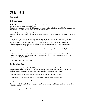# Study 1: Ruth 1

Read Ruth 1

# Background Context

Author: Unsure, potentially the prophet Samuel or a female Audience: written to Israel after the exile Purpose: as a contrast to the book of Judges, as an answer to Proverbs 31, as a model of keeping the law demonstrated by someone outside of the Israelite community

"When the judges ruled…" (Judges 2:6-23)

This text summarizes what was happening in Israel during that period in which the story of Ruth takes place.

Heterarchy – a system of power and organization; the complex set of relationships at work among individuals and communities that affect power relations between various peoples (i.e. mothers and daughters, women and men, Israel and Moab, etc.). The book of Ruth highlights a variety of these relational dynamics and it will help us to keep these dynamics in mind as we study interactions, choices, and systems in the text.

Moab – historically an enemy of Israel, turns Israel to idol worship and away from God (Numbers 25:1- 9)

Widows – often the most vulnerable in Israelite culture, the system of care for a widow would be through her sons, Old Testament law wrote provisions in to care for the widows (Exodus 22:21-24, Deuteronomy 27:19, 25: 5-10)

Bible Project video: Overview Ruth

## Key Observations/Terms

Names & meanings: Ephrathah Bethlehem (Bethlehem means house of bread, Ephrathah is interchangeable with Bethlehem), Elimelech (my God is king), Naomi (my delight), Mahlon (sick), Chilion (coming to an end), Orpah (neck), Ruth (friend or companion), Mara (bitter)

Hesed (verse 8): Hebrew term meaning goodness, kindness, faithfulness, loyal love

"Ruth clung..." (verse 14): same word used in Genesis 2 (expression of covenant love)

Change in situation of Naomi & Ruth

Repetition of Moab, "go back/turn back/gone back", terms of empty & fullness (famine, without, given food, full, empty)

God is not a significant actor in the entire book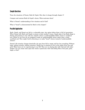## Sample Questions

Trace the situations of Naomi, Ruth & Orpah. How does it change through chapter 1?

Compare and contrast Ruth & Orpah's choice. What motivates them?

What is Naomi's understanding of her situation and of God?

What is "hesed" as demonstrated by Ruth in this chapter?

## Possible Application

Ruth, Orpah, and Naomi are left in a vulnerable state. Any option before them is full of uncertainty. When Naomi tells Ruth and Orpah to return to their mother's house, Orpah takes it but Ruth clings to Naomi and promises to stay with her. Orpah's choice is understandable; Ruth's choice is sacrificial love. Where in our lives are we tempted to make an understandable choice rather than a costly sacrificial one? How might God be directing us to make "hesed" choices instead of understandable choices?

Naomi's life situation changes drastically; she goes from full to empty and has lost everything. Without hope, without security, without resources, Naomi has to continue to live in the midst of her loss and grief. What losses are we experiencing in our life? How are we sharing that with God and with other people? Can you create some space this week to spend time with God telling Him of the pain, grief, anger, or fear?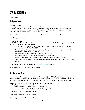# <u>Study 2: Ruth 2</u>

Read Ruth 2

## Background Context

Farming practices:

Gleaning: Leviticus 19:9-10, Deuteronomy 24:19-22

In the OT law, provisions were put in place to care for the widows, poor, orphans, and foreigners in Israel. Landowners were prohibited from collecting all the leftover crops (to not glean to the edges of their property) in order to provide for those who needed food.

The period of time between beginning and end of barley harvest is about 3 months.

Ephah – approx. 30-50lbs

Kinsman redeemer:

In the OT law, this term described the nearest male blood relative, who had the responsibility and role to care for vulnerable family members by

- Buying back or redeeming land that was sold by a family member, to ensure that the land remains in the family (Lev 25: 25-30)
- Redeeming a relative sold into slavery because of poverty, thereby ensuring freedom for the people in the clan/family (Lev 25:47-55)
- Redeeming objects dedicated to the sanctuary (Lev 27:9 -28)
- Track down and execute murderers of near relatives (Num 35:12; 19-27)
- To receive restitution money on behalf of a deceased victim of a crime (Num 5:8)
- And to ensure that justice is served in a lawsuit involving a relative (Job 19:25; Ps 119:154; Her 50:34)

Ruth Con podcast: Ruth 2 (available on https://ivcf.ca/ivcf-bc/ website)

Bible Project video: Character of God, Loyal Love

#### Key Observations/Terms

Kinsman (verse 1) "mowda" vs relative/next of kin (verse 20) "gaal" The first term refers to a person who is related to an individual. The second term comes from the root word "gaal" meaning "to redeem" and is first introduced in this chapter. It will come up 21x in the book of Ruth related to a person.

Structure of chapter 2 based on location of and relational interactions: Ruth & Naomi – in private (verses 1-3) Boaz  $&$  reapers – in private at the field (verses 4-7) Boaz  $\&$  Ruth – in public at the field (verses 8-14) Boaz  $\&$  reapers – in private at the field (verses 15-16) Ruth & Naomi – in private (verses 17-23)

Ruth drives the action; Naomi follows her plans

```
"As it happened" (verse 3), "Just then" (verse 4)
```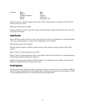| Contrasts: | Ruth                | Boaz            |
|------------|---------------------|-----------------|
|            | Woman               | Man             |
|            | Moabite (foreigner) | Israelite       |
|            | Servant             | Landowner       |
|            | Widow               | Prominent, rich |
|            |                     |                 |

"wings" (verse 12) – common image used of God's shelter and protection in Scripture (see Psalm 17:8, 36:7, 57:1, 61:4, 63:7, 91:4)

Repetition of glean, favour, Moab

Ongoing repetition: "hesed" (verse 20), themes of empty/full [full reward, satisfied  $(2x)$ , how much, left over], keep close/clung

#### Sample Questions

Ruth and Naomi make and act on a plan to get food and yet terms of coincidence are introduced. What is the text communicating to us about what's happening in this situation?

Why does Boaz take notice of Ruth?

Describe the life situations of Ruth and Boaz. How do both characters exercise agency within their context?

Whose "hesed" is being referenced in verse 20?

What is "hesed" as demonstrated by Boaz in this chapter? How does this build on our understanding of "hesed" demonstrated by Ruth from chapter 1?

Compare and contrast the situation of Ruth & Naomi at the beginning of the chapter and at the end. What has changed? What has remained the same?

#### Possible Application

Boaz first take notice of Ruth and then demonstrates hesed to someone who is in a completely different social circle than himself. Who are the people God is inviting you to take notice of on campus, at work, in your neighbourhood? How can you demonstrate hesed toward them?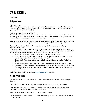# Study 3: Ruth 3

Read Ruth 3

## Background Context

Marriage culture:

"Most marriages in ancient Israel were monogamous and arranged by family members for economic, social, or religious reasons… Marriage was normally endogamous [within tribal, cultural, and faith groups]…" Taylor, Ruth, Esther, 55-56

#### Levirate marriage: Deuteronomy 25:5-6

An ancient custom designed to ensure both the provision for widows without sons and the continuation of a family name. If a married man dies without a son, the man's brother would marry his widow and their first-born son would continue the name of the deceased brother.

Wash, anoint, put on your best clothes (verse 3): mark change in status from widow in mourning, style or literary device to show change in a character's situation, present self for marriage to Boaz

Tamar & Judah: Genesis 38 (example of Levirate marriage AND serves to contrast the dynamic between Ruth & Boaz)

Although only directly mentioned in chapter 4, this is a story well known to the Israelite community and there is much in the description of Ruth & Boaz's encounter at the threshing floor that would call to mind for many hearers this particular story. Similarities & contrasts include:

- Tamar, like Ruth, was a foreigner, who married into the nation of Israel
- Husbands died leaving both women childless (in Tamar's case, levirate marriage took place with the second son, but was denied with the third son)
- Tamar clearly falls within levirate law, but Ruth does not (there is no brother for Ruth to marry)
- Judah (the figure with power in the story) is the one who puts Tamar in a vulnerable state
- Women taking action to secure a future for themselves and calling those in power (in this case, the men) to act in accordance with the law (in Ruth's case, the spirit of the law) to provide security for them

Ruth Con podcast: Ruth 3 (available on https://ivcf.ca/ivcf-bc/ website)

## Key Observations/Terms

Contrast from chapter 2: Naomi becomes the active driver of plans and Ruth is now following her direction

"Security" (verse 1) – means resting place, home (recall Naomi's prayer in chapter 1 verse 9)

"so that it may be well with you" (verse  $1$ ) – Deuteronomy 4:40, 5:29, 6:3): This phrase is often connected to the keeping of God's commands and decrees.

Repetition of themes of secrecy (verses 3, 7, 14) takes place at night

"spread your cloak..." (verse 9) Ruth asks Boaz to marry her (recall the status of these two characters from chapter 2)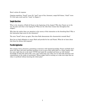Boaz's actions & response

Ongoing repetition: "hesed" (verse 10), "gaal" (next of kin, kinsman), empty/full theme, "cloak" (verse 9) is the same word used for "wing" in chapter 2

#### Sample Questions

What is the situation of Ruth & Naomi at the beginning of the chapter? Why does Naomi act in the way she does and what is she hoping for? What are the risks these women face throughout this chapter?

Why does the author draw our attention to the secrecy of this interaction at the threshing floor? Why is this interaction kept secret by the characters?

The term "hesed" shows up again. How does Ruth demonstrate this characteristic towards Boaz?

Boaz has no legal obligation to marry Ruth and provide for her and Naomi. What do we learn about him from his actions and response?

#### Possible Application

This chapter shows characters committing to decisions with limited knowledge; Naomi and Ruth don't know how Boaz will react and Boaz promises to act as next of kin while there is a closer relative who has more right than he to the land. COVID had made life unsettled and leaves us with limited knowledge of what life will be like, even a few weeks from now. How can we still make decisions and commitments in the midst of uncertainty? Where might God be inviting us to take next steps that are risky or sacrificial without knowing the whole plan?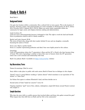# Study 4: Ruth 4

Read Ruth 4

# Background Context

City gate: key location within a community, like a cultural hub or town square. This is the location of business, decisions, justice, and communication of a town (examples in Deuteronomy 21: 18-21, Joshua 20:4, Proverbs 31:23, 2 Samuel 18:1-5, 19:1-8). Elders are senior males responsible within the community for legal, social, and religious decision making and administration.

Land: Leviticus 25

Land was never sold permanently because it belonged to God. The right to work the land and benefit from its production could be sold if a family needed to.

Rachel and Leah: Genesis 29-30 The wives of Jacob who, along with their maids, birthed 12 sons and one daughter, eventually becoming the nation of Israel.

Seven sons: Ideal or perfect family Seven is a number representing perfection and ideal. Sons were highly prized in this culture.

Genealogy:

Cycle of 10 generations where the  $7<sup>th</sup>$  generation is Boaz and the  $10<sup>th</sup>$  is David, who later becomes king of Israel. This style of genealogy is similar to that of the ones in Genesis where the  $10<sup>th</sup>$  generation enters into a new covenant and relationship with God.

Ruth Con podcast: Ruth 4 (available on https://ivcf.ca/ivcf-bc/ website)

## Key Observations/Terms

Names & meanings: Obed (to serve)

Story shifts to take place in public with male actors; Ruth & Naomi has no dialogue in this chapter

"friend" (verse 1): actual Hebrew wording is "peloni almoni" which translates to our equivalent of "Joe Schmo" or "John Deer"

Joe Schmo first agrees to redeem Elimelech's land, and then decides not to

Second action of God; "made her conceive" (verse 13)

Ongoing repetition: "gaal" (next of kin, redeem, redemption), empty/full theme around Naomi (contrast who chapter 1)

#### Sample Questions

Why does the story shift to a public process that involved elders and those who gather around the gate? What impact does that shift have on Ruth and her life in the community?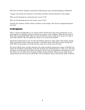Why does Joe Schmo change his mind about redeeming the parcel of land belonging to Elimelech?

Compare and contrast the characters of Joe Schmo and Boaz and their decisions in this chapter.

What are the blessings the community gives (verses 11-12)?

What are the blessings given by the women (verses 14-15)?

Describe the situations of Ruth, Naomi, and Boaz in this chapter. How has this changed throughout the book?

#### Possible Application

What is valued and applauded in our current culture? Think about what traits and decisions we see encouraged by our families, among our friends, on campus, in the workplace. What does the book of Ruth value and applaud? What values in your life God may want to invite you to let go of in order to more fully embrace a life that reflects the values we see in the book of Ruth?

Spend time looking back at your own life and identify experiences where others (God, family, friends, larger community) acted to bring you through a vulnerable season. What did you learn through that time? Who are the people in your life who may need you to do the same for them?

The book of Ruth shows everyday characters who make sacrificial and generous choices of faithful love within the boundaries and freedoms of the life situations they find themselves in. They act in ways that they know are good and honour God in the process. Locate your own boundaries and freedoms in your life. Where can you follow in the footsteps of Ruth, Naomi and Boaz? Where can you make choices simply because you know they are good? How will you influence others towards these kinds of choices?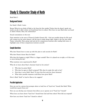# **Study 5: Character Study of Ruth**

Read Ruth 3

## Background Context

See Study 3: Ruth 3 notes

Recap: What do you think of Ruth so far from the first studies? Notice that she doesn't speak very much, yet she is able to draw out hesed (loyal love) in others. How have we seen Ruth draw out hesed in others (Naomi, Boaz, the community)?

Sexual connotations in this text:

Draw attention to the story of Tamar & Judah (Genesis 38) – God uses terrible things for His good will, women are the active players, call the men to make things right, Judah is the one who made Tamar vulnerable. Have group read and ask for comparisons/contrasts after reading both texts, or highlight some of those comparisons/contrasts yourself.

#### Sample Questions

Why does Naomi have to come up with this plan to seek security for Ruth?

Why does Naomi choose Boaz for Ruth?

Why does this happen at night? What is a bigger scandal? How it is played out at night, or if this were to occur during the day?

What emotions were experienced by Ruth?

What do we learn about Boaz's character based on his actions?

- Why does he praise Ruth?
- Why does he agree to Ruth's proposal? Why does he make this oath to her?
- How does it serve Ruth? Boaz? To have him first seek the closer kinsman?
- What other possible responses could Boaz have given Ruth?

How is Ruth "kind" or loyal to Boaz as he suggests?

#### Possible Application

How can you be a person that prompts others to lead lives of "loyal love" (hesed) like Ruth? What would that require from you?

How can you develop your character that allows you to operate out of "loyal love" (hesed)?

When have you been shown "loyal love" (hesed) from God and from others? How did you respond?

How have you shown "loyal love" (hesed) to others?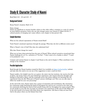# **Study 6: Character Study of Naomi**

Read Ruth 1:14 – 2:2 and 4:13 – 17

## Background Context

Recap Naomi's situation: Ruth 1:1-14

Name change:

Names are significant in ancient Israelite culture as they often reflect a situation or a trait of a person. In most biblical narratives, God is the one who changes names (see: Genesis 17, Mark 3:13-19). A cultural practice of changing one's name reflects a new chapter in that person's life.

#### Sample Questions

What are the cultural expectations of Naomi toward Ruth?

Track Naomi's emotional experience through the passage. What does she feel as different events occur?

What is Naomi's view of God? How does she understand him?

Why does Naomi change her name?

What can we learn about grieving from the story of Naomi? What cultural narratives around grief does Naomi challenge for us? (i.e., narratives of "I'm fine", "I don't want to be a burden to others", "I need to be productive", etc.)

Compare and contrast Naomi in chapter 2 and Naomi at the end of chapter 4. What contributes to the change in her situation?

#### Possible Application

Read through the Naomi handout created for Ruth Con (available on https://ivcf.ca/ivcf-bc/ website) and take time this week to try out one of the suggestions to meet a need you have.

Naomi models a few helpful ways for us to grieve: she enters into her emotions, she receives the help of others, she locates God as the actor behind her experiences, she's honest about her thoughts and feelings to God and to others, and she eventually moves into action without ever knowing why she experienced what she did. What part of Naomi's process challenges you? How can you take steps to follow her model for your own processing?

At the end of the story, Naomi enters into a season of restoration and nourishment. She returned to her community empty declaring the hand of God against her and we see a reversal in her state with her community declaring the hand of God actually being with her throughout her season of grief. Who are the people in your life who can help you interpret your experiences of life and of God? Make time in the next month to be honest with them about your experiences. Ask them to help you hear from God in the places where you feel distant from God.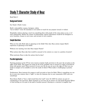# **Study 7: Character Study of Boaz**

Read Ruth 2

## Background Context

See Study 2: Ruth 2 notes

Ruth's vulnerability: woman, foreigner, widow "not to bother" (verse 16) translates to not molest or touch for any purpose (sexual or violent)

Hospitality culture: sharing a meal was something done with people of the same status as you, or of close relationship. Within the system of relationships, typical expectations would be for foreigners to serve Israelites, women to serve men, and servants to serve masters.

#### Sample Questions

What are the risks Ruth takes in gleaning in the fields? How does Boaz actions impact Ruth's experience of gleaning in the fields?

Without ever meeting, how does Boaz impact Naomi?

What actions does Boaz take that would be unusual in his context as a man in a position of power?

What motivates Boaz to take the actions that he does?

## Possible Application

Farming practices in the OT law were meant to imitate God's provision to the poor (do not glean to the edges of the field). This meant not using up all of the available crop or resource in order to provide for those with greater need. What resources in your own life do you use up to the edge of? How can you build in margins to be available to serve the needs of others? What makes it challenging to practice this?

Furthermore, Boaz instructs his reapers to pull out grain to leave for Ruth. What is something you can do, in your own context, that is "right" or cares for someone else in your community AND costs you something?

Boaz blesses Ruth to "have a full reward from the Lord" (verse 12) AND his actions are part of contributing to her provision. What situations in our lives do we need to act and speak blessing? Where is God inviting us to be part of the path of another person's blessing in a concrete or tangible way?